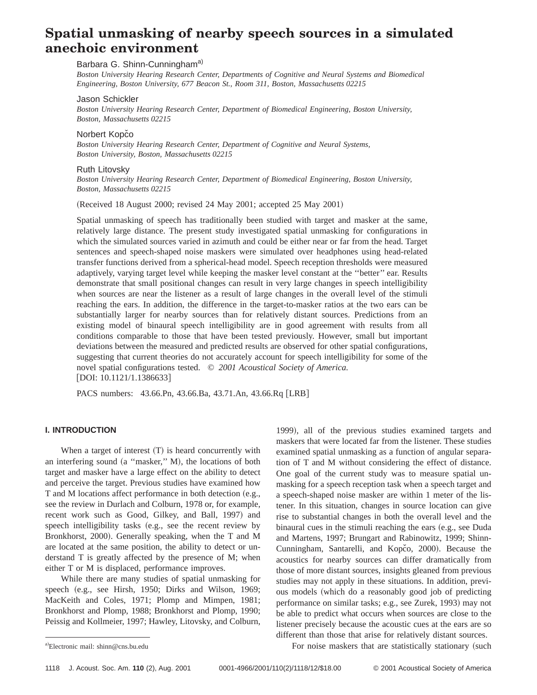# **Spatial unmasking of nearby speech sources in a simulated anechoic environment**

# Barbara G. Shinn-Cunningham<sup>a)</sup>

*Boston University Hearing Research Center, Departments of Cognitive and Neural Systems and Biomedical Engineering, Boston University, 677 Beacon St., Room 311, Boston, Massachusetts 02215*

#### Jason Schickler

*Boston University Hearing Research Center, Department of Biomedical Engineering, Boston University, Boston, Massachusetts 02215*

## Norbert Kopčo

*Boston University Hearing Research Center, Department of Cognitive and Neural Systems, Boston University, Boston, Massachusetts 02215*

# Ruth Litovsky

*Boston University Hearing Research Center, Department of Biomedical Engineering, Boston University, Boston, Massachusetts 02215*

(Received 18 August 2000; revised 24 May 2001; accepted 25 May 2001)

Spatial unmasking of speech has traditionally been studied with target and masker at the same, relatively large distance. The present study investigated spatial unmasking for configurations in which the simulated sources varied in azimuth and could be either near or far from the head. Target sentences and speech-shaped noise maskers were simulated over headphones using head-related transfer functions derived from a spherical-head model. Speech reception thresholds were measured adaptively, varying target level while keeping the masker level constant at the ''better'' ear. Results demonstrate that small positional changes can result in very large changes in speech intelligibility when sources are near the listener as a result of large changes in the overall level of the stimuli reaching the ears. In addition, the difference in the target-to-masker ratios at the two ears can be substantially larger for nearby sources than for relatively distant sources. Predictions from an existing model of binaural speech intelligibility are in good agreement with results from all conditions comparable to those that have been tested previously. However, small but important deviations between the measured and predicted results are observed for other spatial configurations, suggesting that current theories do not accurately account for speech intelligibility for some of the novel spatial configurations tested. © *2001 Acoustical Society of America.*  $[DOI: 10.1121/1.1386633]$ 

PACS numbers: 43.66.Pn, 43.66.Ba, 43.71.An, 43.66.Rq [LRB]

## **I. INTRODUCTION**

When a target of interest  $(T)$  is heard concurrently with an interfering sound  $(a$  "masker," M), the locations of both target and masker have a large effect on the ability to detect and perceive the target. Previous studies have examined how T and M locations affect performance in both detection (e.g., see the review in Durlach and Colburn, 1978 or, for example, recent work such as Good, Gilkey, and Ball, 1997) and speech intelligibility tasks (e.g., see the recent review by Bronkhorst, 2000). Generally speaking, when the T and M are located at the same position, the ability to detect or understand T is greatly affected by the presence of M; when either T or M is displaced, performance improves.

While there are many studies of spatial unmasking for speech (e.g., see Hirsh, 1950; Dirks and Wilson, 1969; MacKeith and Coles, 1971; Plomp and Mimpen, 1981; Bronkhorst and Plomp, 1988; Bronkhorst and Plomp, 1990; Peissig and Kollmeier, 1997; Hawley, Litovsky, and Colburn,

1999), all of the previous studies examined targets and maskers that were located far from the listener. These studies examined spatial unmasking as a function of angular separation of T and M without considering the effect of distance. One goal of the current study was to measure spatial unmasking for a speech reception task when a speech target and a speech-shaped noise masker are within 1 meter of the listener. In this situation, changes in source location can give rise to substantial changes in both the overall level and the binaural cues in the stimuli reaching the ears (e.g., see Duda and Martens, 1997; Brungart and Rabinowitz, 1999; Shinn-Cunningham, Santarelli, and Kopčo, 2000). Because the acoustics for nearby sources can differ dramatically from those of more distant sources, insights gleaned from previous studies may not apply in these situations. In addition, previous models (which do a reasonably good job of predicting performance on similar tasks; e.g., see Zurek, 1993) may not be able to predict what occurs when sources are close to the listener precisely because the acoustic cues at the ears are so different than those that arise for relatively distant sources.

For noise maskers that are statistically stationary (such

Electronic mail: shinn@cns.bu.edu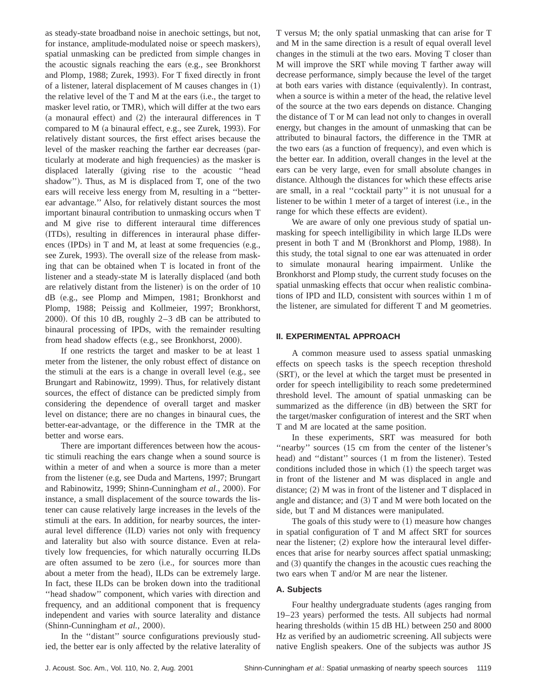as steady-state broadband noise in anechoic settings, but not, for instance, amplitude-modulated noise or speech maskers), spatial unmasking can be predicted from simple changes in the acoustic signals reaching the ears (e.g., see Bronkhorst and Plomp, 1988; Zurek, 1993). For T fixed directly in front of a listener, lateral displacement of  $M$  causes changes in  $(1)$ the relative level of the  $T$  and  $M$  at the ears  $(i.e.,$  the target to masker level ratio, or TMR), which will differ at the two ears  $(a$  monaural effect) and  $(2)$  the interaural differences in T compared to M (a binaural effect, e.g., see Zurek, 1993). For relatively distant sources, the first effect arises because the level of the masker reaching the farther ear decreases (particularly at moderate and high frequencies) as the masker is displaced laterally (giving rise to the acoustic "head shadow"). Thus, as  $M$  is displaced from T, one of the two ears will receive less energy from M, resulting in a ''betterear advantage.'' Also, for relatively distant sources the most important binaural contribution to unmasking occurs when T and M give rise to different interaural time differences (ITDs), resulting in differences in interaural phase differences  $(IPDs)$  in T and M, at least at some frequencies  $(e.g.,)$ see Zurek, 1993). The overall size of the release from masking that can be obtained when T is located in front of the listener and a steady-state M is laterally displaced (and both are relatively distant from the listener) is on the order of 10 dB (e.g., see Plomp and Mimpen, 1981; Bronkhorst and Plomp, 1988; Peissig and Kollmeier, 1997; Bronkhorst, 2000). Of this 10 dB, roughly  $2-3$  dB can be attributed to binaural processing of IPDs, with the remainder resulting from head shadow effects (e.g., see Bronkhorst, 2000).

If one restricts the target and masker to be at least 1 meter from the listener, the only robust effect of distance on the stimuli at the ears is a change in overall level  $(e.g., see)$ Brungart and Rabinowitz, 1999). Thus, for relatively distant sources, the effect of distance can be predicted simply from considering the dependence of overall target and masker level on distance; there are no changes in binaural cues, the better-ear-advantage, or the difference in the TMR at the better and worse ears.

There are important differences between how the acoustic stimuli reaching the ears change when a sound source is within a meter of and when a source is more than a meter from the listener (e.g, see Duda and Martens, 1997; Brungart and Rabinowitz, 1999; Shinn-Cunningham et al., 2000). For instance, a small displacement of the source towards the listener can cause relatively large increases in the levels of the stimuli at the ears. In addition, for nearby sources, the interaural level difference (ILD) varies not only with frequency and laterality but also with source distance. Even at relatively low frequencies, for which naturally occurring ILDs are often assumed to be zero (i.e., for sources more than about a meter from the head), ILDs can be extremely large. In fact, these ILDs can be broken down into the traditional "head shadow" component, which varies with direction and frequency, and an additional component that is frequency independent and varies with source laterality and distance (Shinn-Cunningham *et al.*, 2000).

In the ''distant'' source configurations previously studied, the better ear is only affected by the relative laterality of T versus M; the only spatial unmasking that can arise for T and M in the same direction is a result of equal overall level changes in the stimuli at the two ears. Moving T closer than M will improve the SRT while moving T farther away will decrease performance, simply because the level of the target at both ears varies with distance (equivalently). In contrast, when a source is within a meter of the head, the relative level of the source at the two ears depends on distance. Changing the distance of T or M can lead not only to changes in overall energy, but changes in the amount of unmasking that can be attributed to binaural factors, the difference in the TMR at the two ears (as a function of frequency), and even which is the better ear. In addition, overall changes in the level at the ears can be very large, even for small absolute changes in distance. Although the distances for which these effects arise are small, in a real ''cocktail party'' it is not unusual for a listener to be within  $1$  meter of a target of interest  $(i.e., in the)$ range for which these effects are evident).

We are aware of only one previous study of spatial unmasking for speech intelligibility in which large ILDs were present in both  $T$  and  $M$  (Bronkhorst and Plomp, 1988). In this study, the total signal to one ear was attenuated in order to simulate monaural hearing impairment. Unlike the Bronkhorst and Plomp study, the current study focuses on the spatial unmasking effects that occur when realistic combinations of IPD and ILD, consistent with sources within 1 m of the listener, are simulated for different T and M geometries.

# **II. EXPERIMENTAL APPROACH**

A common measure used to assess spatial unmasking effects on speech tasks is the speech reception threshold (SRT), or the level at which the target must be presented in order for speech intelligibility to reach some predetermined threshold level. The amount of spatial unmasking can be summarized as the difference (in dB) between the SRT for the target/masker configuration of interest and the SRT when T and M are located at the same position.

In these experiments, SRT was measured for both "nearby" sources (15 cm from the center of the listener's head) and "distant" sources (1 m from the listener). Tested conditions included those in which  $(1)$  the speech target was in front of the listener and M was displaced in angle and distance;  $(2)$  M was in front of the listener and T displaced in angle and distance; and  $(3)$  T and M were both located on the side, but T and M distances were manipulated.

The goals of this study were to  $(1)$  measure how changes in spatial configuration of T and M affect SRT for sources near the listener;  $(2)$  explore how the interaural level differences that arise for nearby sources affect spatial unmasking; and  $(3)$  quantify the changes in the acoustic cues reaching the two ears when T and/or M are near the listener.

## **A. Subjects**

Four healthy undergraduate students (ages ranging from 19–23 years) performed the tests. All subjects had normal hearing thresholds (within 15 dB HL) between 250 and 8000 Hz as verified by an audiometric screening. All subjects were native English speakers. One of the subjects was author JS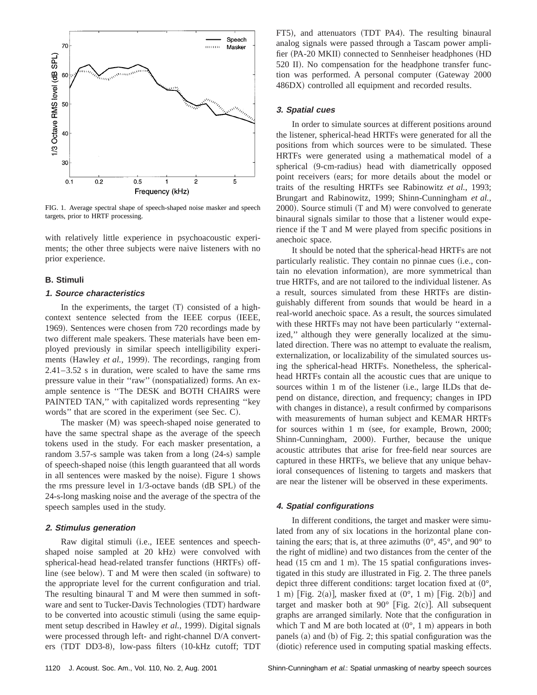

FIG. 1. Average spectral shape of speech-shaped noise masker and speech targets, prior to HRTF processing.

with relatively little experience in psychoacoustic experiments; the other three subjects were naive listeners with no prior experience.

## **B. Stimuli**

## **1. Source characteristics**

In the experiments, the target  $(T)$  consisted of a highcontext sentence selected from the IEEE corpus (IEEE, 1969). Sentences were chosen from 720 recordings made by two different male speakers. These materials have been employed previously in similar speech intelligibility experiments (Hawley *et al.*, 1999). The recordings, ranging from 2.41–3.52 s in duration, were scaled to have the same rms pressure value in their "raw" (nonspatialized) forms. An example sentence is ''The DESK and BOTH CHAIRS were PAINTED TAN,'' with capitalized words representing ''key words" that are scored in the experiment (see Sec. C).

The masker (M) was speech-shaped noise generated to have the same spectral shape as the average of the speech tokens used in the study. For each masker presentation, a random 3.57-s sample was taken from a long  $(24-s)$  sample of speech-shaped noise (this length guaranteed that all words in all sentences were masked by the noise). Figure 1 shows the rms pressure level in  $1/3$ -octave bands  $(dB$  SPL) of the 24-s-long masking noise and the average of the spectra of the speech samples used in the study.

## **2. Stimulus generation**

Raw digital stimuli (i.e., IEEE sentences and speechshaped noise sampled at 20 kHz) were convolved with spherical-head head-related transfer functions (HRTFs) offline (see below). T and M were then scaled (in software) to the appropriate level for the current configuration and trial. The resulting binaural T and M were then summed in software and sent to Tucker-Davis Technologies (TDT) hardware to be converted into acoustic stimuli (using the same equipment setup described in Hawley *et al.*, 1999). Digital signals were processed through left- and right-channel D/A converters (TDT DD3-8), low-pass filters (10-kHz cutoff; TDT FT5), and attenuators (TDT PA4). The resulting binaural analog signals were passed through a Tascam power amplifier (PA-20 MKII) connected to Sennheiser headphones (HD 520 II). No compensation for the headphone transfer function was performed. A personal computer (Gateway 2000 486DX) controlled all equipment and recorded results.

## **3. Spatial cues**

In order to simulate sources at different positions around the listener, spherical-head HRTFs were generated for all the positions from which sources were to be simulated. These HRTFs were generated using a mathematical model of a spherical (9-cm-radius) head with diametrically opposed point receivers (ears; for more details about the model or traits of the resulting HRTFs see Rabinowitz *et al.*, 1993; Brungart and Rabinowitz, 1999; Shinn-Cunningham *et al.*,  $2000$ ). Source stimuli (T and M) were convolved to generate binaural signals similar to those that a listener would experience if the T and M were played from specific positions in anechoic space.

It should be noted that the spherical-head HRTFs are not particularly realistic. They contain no pinnae cues (i.e., contain no elevation information), are more symmetrical than true HRTFs, and are not tailored to the individual listener. As a result, sources simulated from these HRTFs are distinguishably different from sounds that would be heard in a real-world anechoic space. As a result, the sources simulated with these HRTFs may not have been particularly "externalized," although they were generally localized at the simulated direction. There was no attempt to evaluate the realism, externalization, or localizability of the simulated sources using the spherical-head HRTFs. Nonetheless, the sphericalhead HRTFs contain all the acoustic cues that are unique to sources within  $1 \text{ m}$  of the listener (i.e., large ILDs that depend on distance, direction, and frequency; changes in IPD with changes in distance), a result confirmed by comparisons with measurements of human subject and KEMAR HRTFs for sources within  $1 \text{ m}$  (see, for example, Brown, 2000; Shinn-Cunningham, 2000). Further, because the unique acoustic attributes that arise for free-field near sources are captured in these HRTFs, we believe that any unique behavioral consequences of listening to targets and maskers that are near the listener will be observed in these experiments.

#### **4. Spatial configurations**

In different conditions, the target and masker were simulated from any of six locations in the horizontal plane containing the ears; that is, at three azimuths  $(0^{\circ}, 45^{\circ})$ , and  $90^{\circ}$  to the right of midline) and two distances from the center of the head  $(15 \text{ cm and } 1 \text{ m})$ . The 15 spatial configurations investigated in this study are illustrated in Fig. 2. The three panels depict three different conditions: target location fixed at  $(0^{\circ},$ 1 m) [Fig. 2(a)], masker fixed at  $(0^{\circ}, 1 \text{ m})$  [Fig. 2(b)] and target and masker both at  $90^{\circ}$  [Fig. 2(c)]. All subsequent graphs are arranged similarly. Note that the configuration in which T and M are both located at  $(0^{\circ}, 1 \text{ m})$  appears in both panels  $(a)$  and  $(b)$  of Fig. 2; this spatial configuration was the (diotic) reference used in computing spatial masking effects.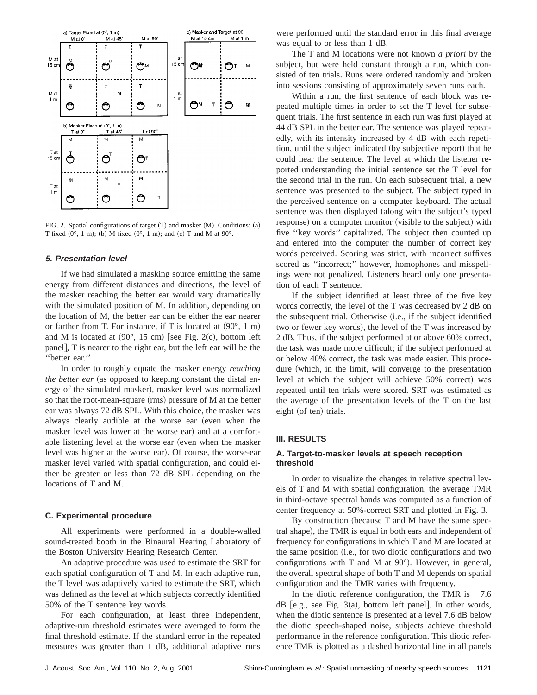

FIG. 2. Spatial configurations of target  $(T)$  and masker  $(M)$ . Conditions:  $(a)$ T fixed  $(0^{\circ}, 1 \text{ m})$ ; (b) M fixed  $(0^{\circ}, 1 \text{ m})$ ; and  $(c)$  T and M at  $90^{\circ}$ .

#### **5. Presentation level**

If we had simulated a masking source emitting the same energy from different distances and directions, the level of the masker reaching the better ear would vary dramatically with the simulated position of M. In addition, depending on the location of M, the better ear can be either the ear nearer or farther from T. For instance, if T is located at  $(90^{\circ}, 1 \text{ m})$ and M is located at  $(90^{\circ}, 15 \text{ cm})$  [see Fig. 2(c), bottom left panel], T is nearer to the right ear, but the left ear will be the ''better ear.''

In order to roughly equate the masker energy *reaching the better ear* (as opposed to keeping constant the distal energy of the simulated masker), masker level was normalized so that the root-mean-square (rms) pressure of M at the better ear was always 72 dB SPL. With this choice, the masker was always clearly audible at the worse ear (even when the masker level was lower at the worse ear) and at a comfortable listening level at the worse ear (even when the masker level was higher at the worse ear). Of course, the worse-ear masker level varied with spatial configuration, and could either be greater or less than 72 dB SPL depending on the locations of T and M.

## **C. Experimental procedure**

All experiments were performed in a double-walled sound-treated booth in the Binaural Hearing Laboratory of the Boston University Hearing Research Center.

An adaptive procedure was used to estimate the SRT for each spatial configuration of T and M. In each adaptive run, the T level was adaptively varied to estimate the SRT, which was defined as the level at which subjects correctly identified 50% of the T sentence key words.

For each configuration, at least three independent, adaptive-run threshold estimates were averaged to form the final threshold estimate. If the standard error in the repeated measures was greater than 1 dB, additional adaptive runs were performed until the standard error in this final average was equal to or less than 1 dB.

The T and M locations were not known *a priori* by the subject, but were held constant through a run, which consisted of ten trials. Runs were ordered randomly and broken into sessions consisting of approximately seven runs each.

Within a run, the first sentence of each block was repeated multiple times in order to set the T level for subsequent trials. The first sentence in each run was first played at 44 dB SPL in the better ear. The sentence was played repeatedly, with its intensity increased by 4 dB with each repetition, until the subject indicated (by subjective report) that he could hear the sentence. The level at which the listener reported understanding the initial sentence set the T level for the second trial in the run. On each subsequent trial, a new sentence was presented to the subject. The subject typed in the perceived sentence on a computer keyboard. The actual sentence was then displayed (along with the subject's typed response) on a computer monitor (visible to the subject) with five ''key words'' capitalized. The subject then counted up and entered into the computer the number of correct key words perceived. Scoring was strict, with incorrect suffixes scored as ''incorrect;'' however, homophones and misspellings were not penalized. Listeners heard only one presentation of each T sentence.

If the subject identified at least three of the five key words correctly, the level of the T was decreased by 2 dB on the subsequent trial. Otherwise (i.e., if the subject identified two or fewer key words), the level of the T was increased by 2 dB. Thus, if the subject performed at or above 60% correct, the task was made more difficult; if the subject performed at or below 40% correct, the task was made easier. This procedure (which, in the limit, will converge to the presentation level at which the subject will achieve 50% correct) was repeated until ten trials were scored. SRT was estimated as the average of the presentation levels of the T on the last eight (of ten) trials.

## **III. RESULTS**

# **A. Target-to-masker levels at speech reception threshold**

In order to visualize the changes in relative spectral levels of T and M with spatial configuration, the average TMR in third-octave spectral bands was computed as a function of center frequency at 50%-correct SRT and plotted in Fig. 3.

By construction (because  $T$  and  $M$  have the same spectral shape), the TMR is equal in both ears and independent of frequency for configurations in which T and M are located at the same position (i.e., for two diotic configurations and two configurations with T and M at  $90^{\circ}$ ). However, in general, the overall spectral shape of both T and M depends on spatial configuration and the TMR varies with frequency.

In the diotic reference configuration, the TMR is  $-7.6$  $dB$  [e.g., see Fig. 3(a), bottom left panel]. In other words, when the diotic sentence is presented at a level 7.6 dB below the diotic speech-shaped noise, subjects achieve threshold performance in the reference configuration. This diotic reference TMR is plotted as a dashed horizontal line in all panels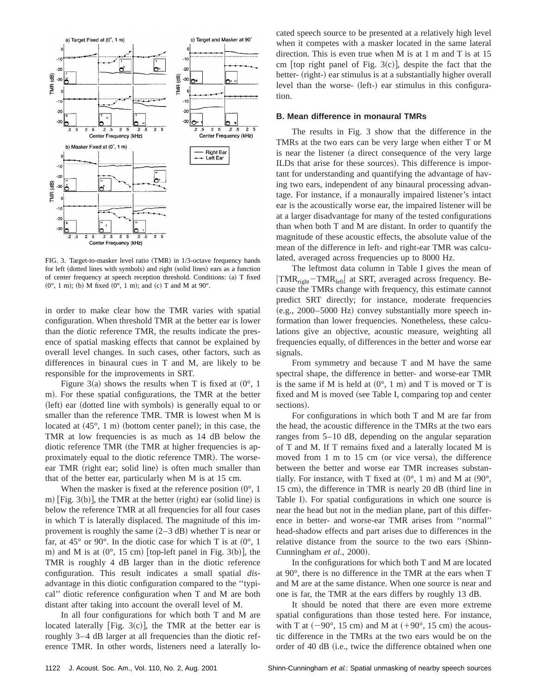

FIG. 3. Target-to-masker level ratio (TMR) in 1/3-octave frequency bands for left (dotted lines with symbols) and right (solid lines) ears as a function of center frequency at speech reception threshold. Conditions:  $(a)$  T fixed  $(0^{\circ}, 1 \text{ m})$ ; (b) M fixed  $(0^{\circ}, 1 \text{ m})$ ; and  $(c)$  T and M at  $90^{\circ}$ .

in order to make clear how the TMR varies with spatial configuration. When threshold TMR at the better ear is lower than the diotic reference TMR, the results indicate the presence of spatial masking effects that cannot be explained by overall level changes. In such cases, other factors, such as differences in binaural cues in T and M, are likely to be responsible for the improvements in SRT.

Figure 3(a) shows the results when T is fixed at  $(0^{\circ}, 1)$ m). For these spatial configurations, the TMR at the better (left) ear (dotted line with symbols) is generally equal to or smaller than the reference TMR. TMR is lowest when M is located at  $(45^{\circ}, 1 \text{ m})$  (bottom center panel); in this case, the TMR at low frequencies is as much as 14 dB below the diotic reference TMR (the TMR at higher frequencies is approximately equal to the diotic reference TMR). The worseear TMR (right ear; solid line) is often much smaller than that of the better ear, particularly when M is at 15 cm.

When the masker is fixed at the reference position  $(0^{\circ}, 1)$ m)  $[Fig. 3(b)],$  the TMR at the better (right) ear (solid line) is below the reference TMR at all frequencies for all four cases in which T is laterally displaced. The magnitude of this improvement is roughly the same  $(2-3$  dB) whether T is near or far, at 45 $\degree$  or 90 $\degree$ . In the diotic case for which T is at  $(0\degree, 1\degree)$ m) and M is at  $(0^{\circ}, 15 \text{ cm})$  [top-left panel in Fig. 3(b)], the TMR is roughly 4 dB larger than in the diotic reference configuration. This result indicates a small spatial *dis*advantage in this diotic configuration compared to the ''typical'' diotic reference configuration when T and M are both distant after taking into account the overall level of M.

In all four configurations for which both T and M are located laterally [Fig.  $3(c)$ ], the TMR at the better ear is roughly 3–4 dB larger at all frequencies than the diotic reference TMR. In other words, listeners need a laterally located speech source to be presented at a relatively high level when it competes with a masker located in the same lateral direction. This is even true when M is at 1 m and T is at 15 cm  $[$ top right panel of Fig.  $3(c)$ , despite the fact that the better- (right-) ear stimulus is at a substantially higher overall level than the worse- (left-) ear stimulus in this configuration.

## **B. Mean difference in monaural TMRs**

The results in Fig. 3 show that the difference in the TMRs at the two ears can be very large when either T or M is near the listener (a direct consequence of the very large ILDs that arise for these sources). This difference is important for understanding and quantifying the advantage of having two ears, independent of any binaural processing advantage. For instance, if a monaurally impaired listener's intact ear is the acoustically worse ear, the impaired listener will be at a larger disadvantage for many of the tested configurations than when both T and M are distant. In order to quantify the magnitude of these acoustic effects, the absolute value of the mean of the difference in left- and right-ear TMR was calculated, averaged across frequencies up to 8000 Hz.

The leftmost data column in Table I gives the mean of  $\text{TMR}_{\text{right}}$  – TMR<sub>left</sub> at SRT, averaged across frequency. Because the TMRs change with frequency, this estimate cannot predict SRT directly; for instance, moderate frequencies  $(e.g., 2000–5000 Hz)$  convey substantially more speech information than lower frequencies. Nonetheless, these calculations give an objective, acoustic measure, weighting all frequencies equally, of differences in the better and worse ear signals.

From symmetry and because T and M have the same spectral shape, the difference in better- and worse-ear TMR is the same if M is held at  $(0^{\circ}, 1 \text{ m})$  and T is moved or T is fixed and M is moved (see Table I, comparing top and center sections).

For configurations in which both T and M are far from the head, the acoustic difference in the TMRs at the two ears ranges from 5–10 dB, depending on the angular separation of T and M. If T remains fixed and a laterally located M is moved from  $1 \text{ m}$  to  $15 \text{ cm}$  (or vice versa), the difference between the better and worse ear TMR increases substantially. For instance, with T fixed at  $(0^{\circ}, 1 \text{ m})$  and M at  $(90^{\circ},$ 15 cm), the difference in TMR is nearly 20  $dB$  (third line in Table I). For spatial configurations in which one source is near the head but not in the median plane, part of this difference in better- and worse-ear TMR arises from ''normal'' head-shadow effects and part arises due to differences in the relative distance from the source to the two ears (Shinn-Cunningham *et al.*, 2000).

In the configurations for which both T and M are located at 90°, there is no difference in the TMR at the ears when T and M are at the same distance. When one source is near and one is far, the TMR at the ears differs by roughly 13 dB.

It should be noted that there are even more extreme spatial configurations than those tested here. For instance, with T at  $(-90^{\circ}, 15 \text{ cm})$  and M at  $(+90^{\circ}, 15 \text{ cm})$  the acoustic difference in the TMRs at the two ears would be on the order of 40 dB (i.e., twice the difference obtained when one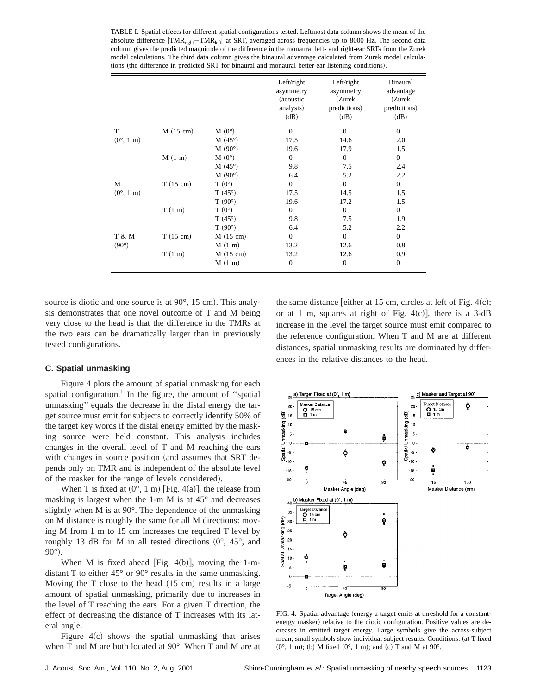TABLE I. Spatial effects for different spatial configurations tested. Leftmost data column shows the mean of the absolute difference  $\text{TMR}_{\text{right}}-\text{TMR}_{\text{left}}$  at SRT, averaged across frequencies up to 8000 Hz. The second data column gives the predicted magnitude of the difference in the monaural left- and right-ear SRTs from the Zurek model calculations. The third data column gives the binaural advantage calculated from Zurek model calculations (the difference in predicted SRT for binaural and monaural better-ear listening conditions).

|                            |                    |                    | Left/right<br>asymmetry<br>(acoustic)<br>analysis)<br>(dB) | Left/right<br>asymmetry<br>(Zurek)<br>predictions)<br>(dB) | Binaural<br>advantage<br>(Zurek<br>predictions)<br>(dB) |
|----------------------------|--------------------|--------------------|------------------------------------------------------------|------------------------------------------------------------|---------------------------------------------------------|
| T                          | $M(15 \text{ cm})$ | $M(0^{\circ})$     | $\overline{0}$                                             | $\Omega$                                                   | $\boldsymbol{0}$                                        |
| $(0^{\circ}, 1 \text{ m})$ |                    | $M(45^{\circ})$    | 17.5                                                       | 14.6                                                       | 2.0                                                     |
|                            |                    | M(90°)             | 19.6                                                       | 17.9                                                       | 1.5                                                     |
|                            | M(1 m)             | $M(0^{\circ})$     | $\boldsymbol{0}$                                           | $\mathbf{0}$                                               | $\boldsymbol{0}$                                        |
|                            |                    | $M(45^{\circ})$    | 9.8                                                        | 7.5                                                        | 2.4                                                     |
|                            |                    | M(90°)             | 6.4                                                        | 5.2                                                        | 2.2                                                     |
| M                          | $T(15 \text{ cm})$ | $T(0^{\circ})$     | $\mathbf{0}$                                               | $\mathbf{0}$                                               | $\boldsymbol{0}$                                        |
| $(0^{\circ}, 1 \text{ m})$ |                    | $T(45^{\circ})$    | 17.5                                                       | 14.5                                                       | 1.5                                                     |
|                            |                    | $T(90^{\circ})$    | 19.6                                                       | 17.2                                                       | 1.5                                                     |
|                            | T(1 m)             | $T(0^{\circ})$     | $\mathbf{0}$                                               | $\mathbf{0}$                                               | $\boldsymbol{0}$                                        |
|                            |                    | $T(45^{\circ})$    | 9.8                                                        | 7.5                                                        | 1.9                                                     |
|                            |                    | $T(90^{\circ})$    | 6.4                                                        | 5.2                                                        | 2.2                                                     |
| T & M                      | $T(15 \text{ cm})$ | $M(15 \text{ cm})$ | $\mathbf{0}$                                               | $\mathbf{0}$                                               | $\boldsymbol{0}$                                        |
| $(90^{\circ})$             |                    | M(1 m)             | 13.2                                                       | 12.6                                                       | 0.8                                                     |
|                            | T(1 m)             | $M(15 \text{ cm})$ | 13.2                                                       | 12.6                                                       | 0.9                                                     |
|                            |                    | M(1 m)             | $\mathbf{0}$                                               | $\theta$                                                   | $\mathbf{0}$                                            |

source is diotic and one source is at  $90^\circ$ , 15 cm). This analysis demonstrates that one novel outcome of T and M being very close to the head is that the difference in the TMRs at the two ears can be dramatically larger than in previously tested configurations.

## **C. Spatial unmasking**

Figure 4 plots the amount of spatial unmasking for each spatial configuration.<sup>1</sup> In the figure, the amount of "spatial" unmasking'' equals the decrease in the distal energy the target source must emit for subjects to correctly identify 50% of the target key words if the distal energy emitted by the masking source were held constant. This analysis includes changes in the overall level of T and M reaching the ears with changes in source position (and assumes that SRT depends only on TMR and is independent of the absolute level of the masker for the range of levels considered).

When T is fixed at  $(0^{\circ}, 1 \text{ m})$  [Fig. 4(a)], the release from masking is largest when the 1-m M is at 45° and decreases slightly when M is at 90°. The dependence of the unmasking on M distance is roughly the same for all M directions: moving M from 1 m to 15 cm increases the required T level by roughly 13 dB for M in all tested directions  $(0^{\circ}, 45^{\circ},$  and  $90^\circ$ ).

When M is fixed ahead [Fig. 4(b)], moving the 1-mdistant T to either 45° or 90° results in the same unmasking. Moving the  $T$  close to the head  $(15 \text{ cm})$  results in a large amount of spatial unmasking, primarily due to increases in the level of T reaching the ears. For a given T direction, the effect of decreasing the distance of T increases with its lateral angle.

Figure  $4(c)$  shows the spatial unmasking that arises when T and M are both located at 90°. When T and M are at the same distance [either at 15 cm, circles at left of Fig.  $4(c)$ ; or at 1 m, squares at right of Fig.  $4(c)$ , there is a 3-dB increase in the level the target source must emit compared to the reference configuration. When T and M are at different distances, spatial unmasking results are dominated by differences in the relative distances to the head.



FIG. 4. Spatial advantage (energy a target emits at threshold for a constantenergy masker) relative to the diotic configuration. Positive values are decreases in emitted target energy. Large symbols give the across-subject mean; small symbols show individual subject results. Conditions: (a) T fixed  $(0^{\circ}, 1 \text{ m})$ ; (b) M fixed  $(0^{\circ}, 1 \text{ m})$ ; and  $(c)$  T and M at  $90^{\circ}$ .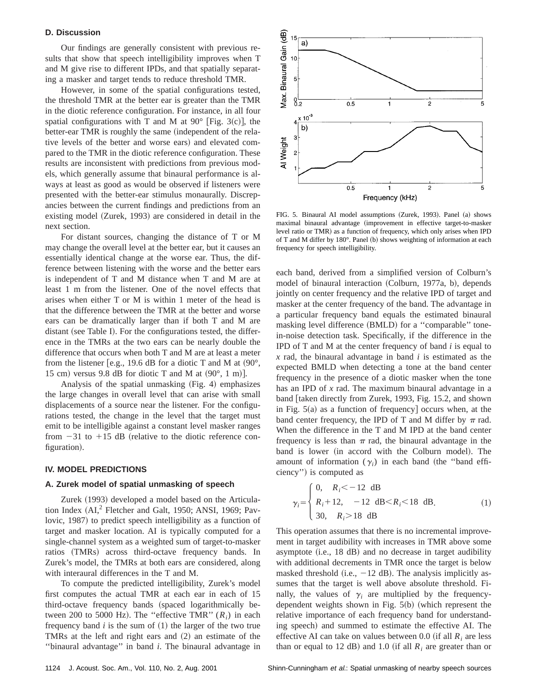## **D. Discussion**

Our findings are generally consistent with previous results that show that speech intelligibility improves when T and M give rise to different IPDs, and that spatially separating a masker and target tends to reduce threshold TMR.

However, in some of the spatial configurations tested, the threshold TMR at the better ear is greater than the TMR in the diotic reference configuration. For instance, in all four spatial configurations with T and M at  $90^{\circ}$  [Fig. 3(c)], the better-ear TMR is roughly the same (independent of the relative levels of the better and worse ears) and elevated compared to the TMR in the diotic reference configuration. These results are inconsistent with predictions from previous models, which generally assume that binaural performance is always at least as good as would be observed if listeners were presented with the better-ear stimulus monaurally. Discrepancies between the current findings and predictions from an existing model (Zurek, 1993) are considered in detail in the next section.

For distant sources, changing the distance of T or M may change the overall level at the better ear, but it causes an essentially identical change at the worse ear. Thus, the difference between listening with the worse and the better ears is independent of T and M distance when T and M are at least 1 m from the listener. One of the novel effects that arises when either T or M is within 1 meter of the head is that the difference between the TMR at the better and worse ears can be dramatically larger than if both T and M are distant (see Table I). For the configurations tested, the difference in the TMRs at the two ears can be nearly double the difference that occurs when both T and M are at least a meter from the listener [e.g., 19.6 dB for a diotic T and M at  $(90^{\circ})$ , 15 cm) versus 9.8 dB for diotic T and M at  $(90^{\circ}, 1 \text{ m})$ .

Analysis of the spatial unmasking  $(Fig. 4)$  emphasizes the large changes in overall level that can arise with small displacements of a source near the listener. For the configurations tested, the change in the level that the target must emit to be intelligible against a constant level masker ranges from  $-31$  to  $+15$  dB (relative to the diotic reference configuration).

## **IV. MODEL PREDICTIONS**

#### **A. Zurek model of spatial unmasking of speech**

Zurek (1993) developed a model based on the Articulation Index  $(AI,^{2}$  Fletcher and Galt, 1950; ANSI, 1969; Pavlovic, 1987) to predict speech intelligibility as a function of target and masker location. AI is typically computed for a single-channel system as a weighted sum of target-to-masker ratios (TMRs) across third-octave frequency bands. In Zurek's model, the TMRs at both ears are considered, along with interaural differences in the T and M.

To compute the predicted intelligibility, Zurek's model first computes the actual TMR at each ear in each of 15 third-octave frequency bands (spaced logarithmically between 200 to 5000 Hz). The "effective TMR"  $(R_i)$  in each frequency band  $i$  is the sum of  $(1)$  the larger of the two true TMRs at the left and right ears and  $(2)$  an estimate of the ''binaural advantage'' in band *i*. The binaural advantage in



FIG. 5. Binaural AI model assumptions (Zurek, 1993). Panel (a) shows maximal binaural advantage (improvement in effective target-to-masker level ratio or TMR) as a function of frequency, which only arises when IPD of T and M differ by  $180^\circ$ . Panel (b) shows weighting of information at each frequency for speech intelligibility.

each band, derived from a simplified version of Colburn's model of binaural interaction (Colburn, 1977a, b), depends jointly on center frequency and the relative IPD of target and masker at the center frequency of the band. The advantage in a particular frequency band equals the estimated binaural masking level difference (BMLD) for a "comparable" tonein-noise detection task. Specifically, if the difference in the IPD of T and M at the center frequency of band *i* is equal to *x* rad, the binaural advantage in band *i* is estimated as the expected BMLD when detecting a tone at the band center frequency in the presence of a diotic masker when the tone has an IPD of *x* rad. The maximum binaural advantage in a band [taken directly from Zurek, 1993, Fig. 15.2, and shown in Fig.  $5(a)$  as a function of frequency] occurs when, at the band center frequency, the IPD of T and M differ by  $\pi$  rad. When the difference in the T and M IPD at the band center frequency is less than  $\pi$  rad, the binaural advantage in the band is lower (in accord with the Colburn model). The amount of information  $(\gamma_i)$  in each band (the "band efficiency") is computed as

$$
\gamma_i = \begin{cases} 0, & R_i < -12 \text{ dB} \\ R_i + 12, & -12 \text{ dB} < R_i < 18 \text{ dB} \\ 30, & R_i > 18 \text{ dB} \end{cases} \tag{1}
$$

This operation assumes that there is no incremental improvement in target audibility with increases in TMR above some asymptote  $(i.e., 18 dB)$  and no decrease in target audibility with additional decrements in TMR once the target is below masked threshold (i.e.,  $-12$  dB). The analysis implicitly assumes that the target is well above absolute threshold. Finally, the values of  $\gamma$  are multiplied by the frequencydependent weights shown in Fig.  $5(b)$  (which represent the relative importance of each frequency band for understanding speech) and summed to estimate the effective AI. The effective AI can take on values between 0.0 (if all  $R_i$  are less than or equal to 12 dB) and 1.0 (if all  $R_i$  are greater than or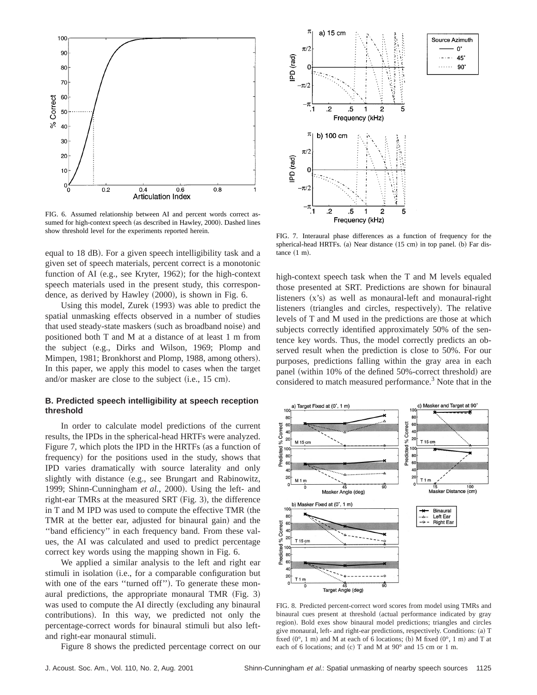

FIG. 6. Assumed relationship between AI and percent words correct assumed for high-context speech (as described in Hawley, 2000). Dashed lines show threshold level for the experiments reported herein. FIG. 7. Interaural phase differences as a function of frequency for the

equal to 18 dB). For a given speech intelligibility task and a given set of speech materials, percent correct is a monotonic function of AI (e.g., see Kryter, 1962); for the high-context speech materials used in the present study, this correspondence, as derived by Hawley  $(2000)$ , is shown in Fig. 6.

Using this model, Zurek (1993) was able to predict the spatial unmasking effects observed in a number of studies that used steady-state maskers (such as broadband noise) and positioned both T and M at a distance of at least 1 m from the subject (e.g., Dirks and Wilson, 1969; Plomp and Mimpen, 1981; Bronkhorst and Plomp, 1988, among others). In this paper, we apply this model to cases when the target and/or masker are close to the subject  $(i.e., 15 cm)$ .

# **B. Predicted speech intelligibility at speech reception threshold**

In order to calculate model predictions of the current results, the IPDs in the spherical-head HRTFs were analyzed. Figure 7, which plots the IPD in the HRTFs (as a function of frequency) for the positions used in the study, shows that IPD varies dramatically with source laterality and only slightly with distance (e.g., see Brungart and Rabinowitz, 1999; Shinn-Cunningham *et al.*, 2000). Using the left- and right-ear TMRs at the measured SRT  $(Fig. 3)$ , the difference in  $T$  and  $M$  IPD was used to compute the effective  $TMR$  (the TMR at the better ear, adjusted for binaural gain) and the ''band efficiency'' in each frequency band. From these values, the AI was calculated and used to predict percentage correct key words using the mapping shown in Fig. 6.

We applied a similar analysis to the left and right ear stimuli in isolation (i.e., for a comparable configuration but with one of the ears "turned off"). To generate these monaural predictions, the appropriate monaural TMR  $(Fig. 3)$ was used to compute the AI directly (excluding any binaural contributions). In this way, we predicted not only the percentage-correct words for binaural stimuli but also leftand right-ear monaural stimuli.

Figure 8 shows the predicted percentage correct on our



spherical-head HRTFs. (a) Near distance (15 cm) in top panel. (b) Far dis $tance (1 m).$ 

high-context speech task when the T and M levels equaled those presented at SRT. Predictions are shown for binaural listeners  $(x's)$  as well as monaural-left and monaural-right listeners (triangles and circles, respectively). The relative levels of T and M used in the predictions are those at which subjects correctly identified approximately 50% of the sentence key words. Thus, the model correctly predicts an observed result when the prediction is close to 50%. For our purposes, predictions falling within the gray area in each panel (within 10% of the defined 50%-correct threshold) are considered to match measured performance.<sup>3</sup> Note that in the



FIG. 8. Predicted percent-correct word scores from model using TMRs and binaural cues present at threshold (actual performance indicated by gray region). Bold exes show binaural model predictions; triangles and circles give monaural, left- and right-ear predictions, respectively. Conditions: (a) T fixed  $(0^{\circ}, 1 \text{ m})$  and M at each of 6 locations; (b) M fixed  $(0^{\circ}, 1 \text{ m})$  and T at each of 6 locations; and (c) T and M at  $90^\circ$  and 15 cm or 1 m.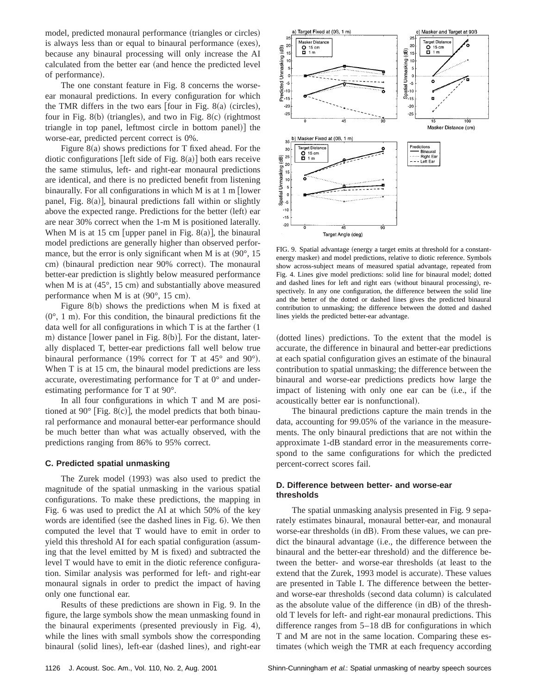model, predicted monaural performance (triangles or circles) is always less than or equal to binaural performance  $(exes)$ , because any binaural processing will only increase the AI calculated from the better ear (and hence the predicted level of performance).

The one constant feature in Fig. 8 concerns the worseear monaural predictions. In every configuration for which the TMR differs in the two ears  $[$ four in Fig. 8 $(a)$  (circles), four in Fig. 8(b) (triangles), and two in Fig. 8(c) (rightmost triangle in top panel, leftmost circle in bottom panel) the worse-ear, predicted percent correct is 0%.

Figure  $8(a)$  shows predictions for T fixed ahead. For the diotic configurations [left side of Fig. 8 $(a)$ ] both ears receive the same stimulus, left- and right-ear monaural predictions are identical, and there is no predicted benefit from listening binaurally. For all configurations in which  $M$  is at 1 m [lower panel, Fig.  $8(a)$ ], binaural predictions fall within or slightly above the expected range. Predictions for the better (left) ear are near 30% correct when the 1-m M is positioned laterally. When M is at 15 cm [upper panel in Fig. 8(a)], the binaural model predictions are generally higher than observed performance, but the error is only significant when M is at  $(90^{\circ}, 15)$ cm) (binaural prediction near 90% correct). The monaural better-ear prediction is slightly below measured performance when M is at  $(45^{\circ}, 15 \text{ cm})$  and substantially above measured performance when M is at  $(90^{\circ}, 15 \text{ cm})$ .

Figure  $8(b)$  shows the predictions when M is fixed at  $(0^{\circ}, 1 \text{ m})$ . For this condition, the binaural predictions fit the data well for all configurations in which  $T$  is at the farther  $(1)$ m) distance [lower panel in Fig. 8 $(b)$ ]. For the distant, laterally displaced T, better-ear predictions fall well below true binaural performance (19% correct for T at  $45^{\circ}$  and 90°). When T is at 15 cm, the binaural model predictions are less accurate, overestimating performance for T at 0° and underestimating performance for T at 90°.

In all four configurations in which T and M are positioned at 90 $^{\circ}$  [Fig. 8(c)], the model predicts that both binaural performance and monaural better-ear performance should be much better than what was actually observed, with the predictions ranging from 86% to 95% correct.

#### **C. Predicted spatial unmasking**

The Zurek model (1993) was also used to predict the magnitude of the spatial unmasking in the various spatial configurations. To make these predictions, the mapping in Fig. 6 was used to predict the AI at which 50% of the key words are identified (see the dashed lines in Fig. 6). We then computed the level that T would have to emit in order to yield this threshold AI for each spatial configuration (assuming that the level emitted by  $M$  is fixed) and subtracted the level T would have to emit in the diotic reference configuration. Similar analysis was performed for left- and right-ear monaural signals in order to predict the impact of having only one functional ear.

Results of these predictions are shown in Fig. 9. In the figure, the large symbols show the mean unmasking found in the binaural experiments (presented previously in Fig. 4), while the lines with small symbols show the corresponding binaural (solid lines), left-ear (dashed lines), and right-ear



FIG. 9. Spatial advantage (energy a target emits at threshold for a constantenergy masker) and model predictions, relative to diotic reference. Symbols show across-subject means of measured spatial advantage, repeated from Fig. 4. Lines give model predictions: solid line for binaural model; dotted and dashed lines for left and right ears (without binaural processing), respectively. In any one configuration, the difference between the solid line and the better of the dotted or dashed lines gives the predicted binaural contribution to unmasking; the difference between the dotted and dashed lines yields the predicted better-ear advantage.

(dotted lines) predictions. To the extent that the model is accurate, the difference in binaural and better-ear predictions at each spatial configuration gives an estimate of the binaural contribution to spatial unmasking; the difference between the binaural and worse-ear predictions predicts how large the impact of listening with only one ear can be (i.e., if the acoustically better ear is nonfunctional).

The binaural predictions capture the main trends in the data, accounting for 99.05% of the variance in the measurements. The only binaural predictions that are not within the approximate 1-dB standard error in the measurements correspond to the same configurations for which the predicted percent-correct scores fail.

# **D. Difference between better- and worse-ear thresholds**

The spatial unmasking analysis presented in Fig. 9 separately estimates binaural, monaural better-ear, and monaural worse-ear thresholds (in dB). From these values, we can predict the binaural advantage (*i.e.*, the difference between the binaural and the better-ear threshold) and the difference between the better- and worse-ear thresholds (at least to the extend that the Zurek, 1993 model is accurate). These values are presented in Table I. The difference between the betterand worse-ear thresholds (second data column) is calculated as the absolute value of the difference  $(in dB)$  of the threshold T levels for left- and right-ear monaural predictions. This difference ranges from 5–18 dB for configurations in which T and M are not in the same location. Comparing these estimates (which weigh the TMR at each frequency according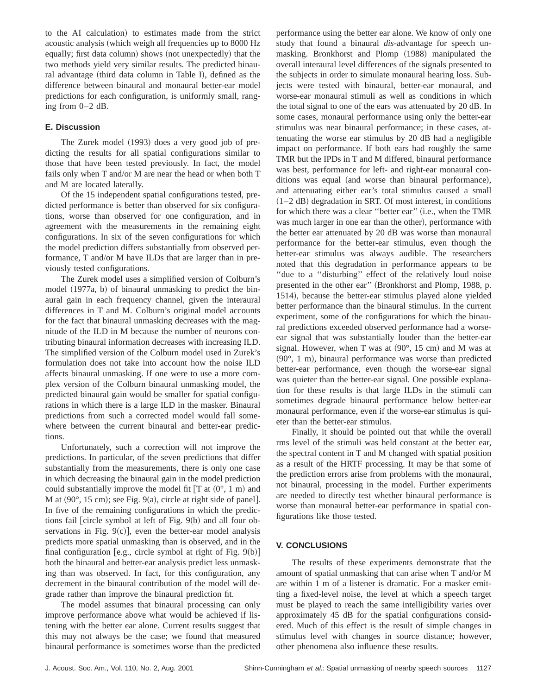to the AI calculation) to estimates made from the strict acoustic analysis (which weigh all frequencies up to 8000 Hz equally; first data column) shows (not unexpectedly) that the two methods yield very similar results. The predicted binaural advantage (third data column in Table I), defined as the difference between binaural and monaural better-ear model predictions for each configuration, is uniformly small, ranging from 0–2 dB.

# **E. Discussion**

The Zurek model (1993) does a very good job of predicting the results for all spatial configurations similar to those that have been tested previously. In fact, the model fails only when T and/or M are near the head or when both T and M are located laterally.

Of the 15 independent spatial configurations tested, predicted performance is better than observed for six configurations, worse than observed for one configuration, and in agreement with the measurements in the remaining eight configurations. In six of the seven configurations for which the model prediction differs substantially from observed performance, T and/or M have ILDs that are larger than in previously tested configurations.

The Zurek model uses a simplified version of Colburn's model  $(1977a, b)$  of binaural unmasking to predict the binaural gain in each frequency channel, given the interaural differences in T and M. Colburn's original model accounts for the fact that binaural unmasking decreases with the magnitude of the ILD in M because the number of neurons contributing binaural information decreases with increasing ILD. The simplified version of the Colburn model used in Zurek's formulation does not take into account how the noise ILD affects binaural unmasking. If one were to use a more complex version of the Colburn binaural unmasking model, the predicted binaural gain would be smaller for spatial configurations in which there is a large ILD in the masker. Binaural predictions from such a corrected model would fall somewhere between the current binaural and better-ear predictions.

Unfortunately, such a correction will not improve the predictions. In particular, of the seven predictions that differ substantially from the measurements, there is only one case in which decreasing the binaural gain in the model prediction could substantially improve the model fit  $[T at (0^{\circ}, 1 m)$  and M at  $(90^{\circ}, 15 \text{ cm})$ ; see Fig.  $9(a)$ , circle at right side of panel]. In five of the remaining configurations in which the predictions fail  $[circle$  symbol at left of Fig.  $9(b)$  and all four observations in Fig.  $9(c)$ ], even the better-ear model analysis predicts more spatial unmasking than is observed, and in the final configuration [e.g., circle symbol at right of Fig.  $9(b)$ ] both the binaural and better-ear analysis predict less unmasking than was observed. In fact, for this configuration, any decrement in the binaural contribution of the model will degrade rather than improve the binaural prediction fit.

The model assumes that binaural processing can only improve performance above what would be achieved if listening with the better ear alone. Current results suggest that this may not always be the case; we found that measured binaural performance is sometimes worse than the predicted performance using the better ear alone. We know of only one study that found a binaural *dis*-advantage for speech unmasking. Bronkhorst and Plomp (1988) manipulated the overall interaural level differences of the signals presented to the subjects in order to simulate monaural hearing loss. Subjects were tested with binaural, better-ear monaural, and worse-ear monaural stimuli as well as conditions in which the total signal to one of the ears was attenuated by 20 dB. In some cases, monaural performance using only the better-ear stimulus was near binaural performance; in these cases, attenuating the worse ear stimulus by 20 dB had a negligible impact on performance. If both ears had roughly the same TMR but the IPDs in T and M differed, binaural performance was best, performance for left- and right-ear monaural conditions was equal (and worse than binaural performance), and attenuating either ear's total stimulus caused a small  $(1–2$  dB) degradation in SRT. Of most interest, in conditions for which there was a clear "better ear" (i.e., when the TMR was much larger in one ear than the other), performance with the better ear attenuated by 20 dB was worse than monaural performance for the better-ear stimulus, even though the better-ear stimulus was always audible. The researchers noted that this degradation in performance appears to be ''due to a ''disturbing'' effect of the relatively loud noise presented in the other ear" (Bronkhorst and Plomp, 1988, p. 1514), because the better-ear stimulus played alone yielded better performance than the binaural stimulus. In the current experiment, some of the configurations for which the binaural predictions exceeded observed performance had a worseear signal that was substantially louder than the better-ear signal. However, when T was at  $(90^{\circ}, 15 \text{ cm})$  and M was at  $(90^{\circ}, 1 \text{ m})$ , binaural performance was worse than predicted better-ear performance, even though the worse-ear signal was quieter than the better-ear signal. One possible explanation for these results is that large ILDs in the stimuli can sometimes degrade binaural performance below better-ear monaural performance, even if the worse-ear stimulus is quieter than the better-ear stimulus.

Finally, it should be pointed out that while the overall rms level of the stimuli was held constant at the better ear, the spectral content in T and M changed with spatial position as a result of the HRTF processing. It may be that some of the prediction errors arise from problems with the monaural, not binaural, processing in the model. Further experiments are needed to directly test whether binaural performance is worse than monaural better-ear performance in spatial configurations like those tested.

# **V. CONCLUSIONS**

The results of these experiments demonstrate that the amount of spatial unmasking that can arise when T and/or M are within 1 m of a listener is dramatic. For a masker emitting a fixed-level noise, the level at which a speech target must be played to reach the same intelligibility varies over approximately 45 dB for the spatial configurations considered. Much of this effect is the result of simple changes in stimulus level with changes in source distance; however, other phenomena also influence these results.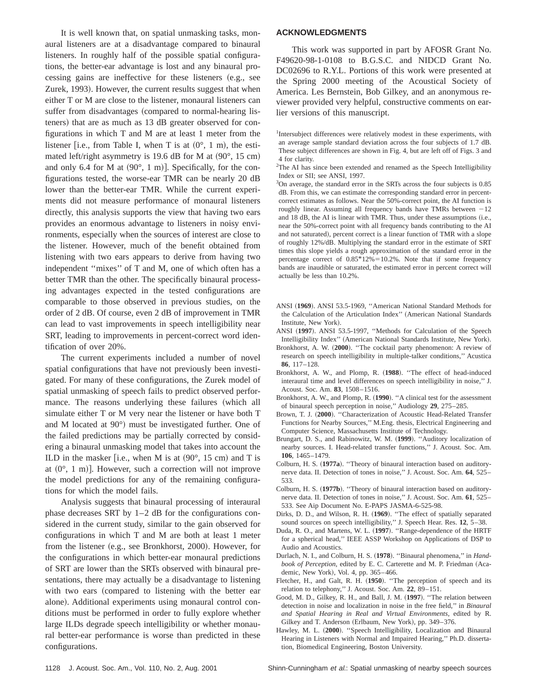It is well known that, on spatial unmasking tasks, monaural listeners are at a disadvantage compared to binaural listeners. In roughly half of the possible spatial configurations, the better-ear advantage is lost and any binaural processing gains are ineffective for these listeners (e.g., see Zurek, 1993). However, the current results suggest that when either T or M are close to the listener, monaural listeners can suffer from disadvantages (compared to normal-hearing listeners) that are as much as 13 dB greater observed for configurations in which T and M are at least 1 meter from the listener [i.e., from Table I, when T is at  $(0^{\circ}, 1 \text{ m})$ , the estimated left/right asymmetry is 19.6 dB for M at  $(90^{\circ}, 15 \text{ cm})$ and only 6.4 for M at  $(90^{\circ}, 1 \text{ m})$ . Specifically, for the configurations tested, the worse-ear TMR can be nearly 20 dB lower than the better-ear TMR. While the current experiments did not measure performance of monaural listeners directly, this analysis supports the view that having two ears provides an enormous advantage to listeners in noisy environments, especially when the sources of interest are close to the listener. However, much of the benefit obtained from listening with two ears appears to derive from having two independent ''mixes'' of T and M, one of which often has a better TMR than the other. The specifically binaural processing advantages expected in the tested configurations are comparable to those observed in previous studies, on the order of 2 dB. Of course, even 2 dB of improvement in TMR can lead to vast improvements in speech intelligibility near SRT, leading to improvements in percent-correct word identification of over 20%.

The current experiments included a number of novel spatial configurations that have not previously been investigated. For many of these configurations, the Zurek model of spatial unmasking of speech fails to predict observed performance. The reasons underlying these failures (which all simulate either T or M very near the listener or have both T and M located at  $90^\circ$ ) must be investigated further. One of the failed predictions may be partially corrected by considering a binaural unmasking model that takes into account the ILD in the masker [i.e., when M is at  $(90^{\circ}, 15 \text{ cm})$  and T is at  $(0^{\circ}, 1 \text{ m})$ . However, such a correction will not improve the model predictions for any of the remaining configurations for which the model fails.

Analysis suggests that binaural processing of interaural phase decreases SRT by 1–2 dB for the configurations considered in the current study, similar to the gain observed for configurations in which T and M are both at least 1 meter from the listener  $(e.g., see Bronkhorst, 2000)$ . However, for the configurations in which better-ear monaural predictions of SRT are lower than the SRTs observed with binaural presentations, there may actually be a disadvantage to listening with two ears (compared to listening with the better ear alone). Additional experiments using monaural control conditions must be performed in order to fully explore whether large ILDs degrade speech intelligibility or whether monaural better-ear performance is worse than predicted in these configurations.

#### **ACKNOWLEDGMENTS**

This work was supported in part by AFOSR Grant No. F49620-98-1-0108 to B.G.S.C. and NIDCD Grant No. DC02696 to R.Y.L. Portions of this work were presented at the Spring 2000 meeting of the Acoustical Society of America. Les Bernstein, Bob Gilkey, and an anonymous reviewer provided very helpful, constructive comments on earlier versions of this manuscript.

<sup>3</sup>On average, the standard error in the SRTs across the four subjects is 0.85 dB. From this, we can estimate the corresponding standard error in percentcorrect estimates as follows. Near the 50%-correct point, the AI function is roughly linear. Assuming all frequency bands have TMRs between  $-12$ and  $18$  dB, the AI is linear with TMR. Thus, under these assumptions (i.e., near the 50%-correct point with all frequency bands contributing to the AI and not saturated), percent correct is a linear function of TMR with a slope of roughly 12%/dB. Multiplying the standard error in the estimate of SRT times this slope yields a rough approximation of the standard error in the percentage correct of  $0.85*12\% = 10.2\%$ . Note that if some frequency bands are inaudible or saturated, the estimated error in percent correct will actually be less than 10.2%.

- ANSI (1969). ANSI 53.5-1969, "American National Standard Methods for the Calculation of the Articulation Index" (American National Standards Institute, New York).
- ANSI (1997). ANSI 53.5-1997, "Methods for Calculation of the Speech Intelligibility Index" (American National Standards Institute, New York).
- Bronkhorst, A. W. (2000). "The cocktail party phenomenon: A review of research on speech intelligibility in multiple-talker conditions,'' Acustica **86**, 117–128.
- Bronkhorst, A. W., and Plomp, R. (1988). "The effect of head-induced interaural time and level differences on speech intelligibility in noise,'' J. Acoust. Soc. Am. **83**, 1508–1516.
- Bronkhorst, A. W., and Plomp, R. (1990). "A clinical test for the assessment of binaural speech perception in noise,'' Audiology **29**, 275–285.
- Brown, T. J. (2000). "Characterization of Acoustic Head-Related Transfer Functions for Nearby Sources,'' M.Eng. thesis, Electrical Engineering and Computer Science, Massachusetts Institute of Technology.
- Brungart, D. S., and Rabinowitz, W. M. (1999). "Auditory localization of nearby sources. I. Head-related transfer functions,'' J. Acoust. Soc. Am. **106**, 1465–1479.
- Colburn, H. S. (1977a). "Theory of binaural interaction based on auditorynerve data. II. Detection of tones in noise,'' J. Acoust. Soc. Am. **64**, 525– 533.
- Colburn, H. S. (1977b). "Theory of binaural interaction based on auditorynerve data. II. Detection of tones in noise,'' J. Acoust. Soc. Am. **61**, 525– 533. See Aip Document No. E-PAPS JASMA-6-525-98.
- Dirks, D. D., and Wilson, R. H.  $(1969)$ . "The effect of spatially separated sound sources on speech intelligibility,'' J. Speech Hear. Res. **12**, 5–38.
- Duda, R. O., and Martens, W. L. (1997). "Range-dependence of the HRTF for a spherical head,'' IEEE ASSP Workshop on Applications of DSP to Audio and Acoustics.
- Durlach, N. I., and Colburn, H. S. (1978). "Binaural phenomena," in *Handbook of Perception*, edited by E. C. Carterette and M. P. Friedman (Academic, New York), Vol. 4, pp. 365–466.
- Fletcher, H., and Galt, R. H.  $(1950)$ . "The perception of speech and its relation to telephony,'' J. Acoust. Soc. Am. **22**, 89–151.
- Good, M. D., Gilkey, R. H., and Ball, J. M. (1997). "The relation between detection in noise and localization in noise in the free field,'' in *Binaural and Spatial Hearing in Real and Virtual Environments*, edited by R. Gilkey and T. Anderson (Erlbaum, New York), pp. 349–376.
- Hawley, M. L. (2000). "Speech Intelligibility, Localization and Binaural Hearing in Listeners with Normal and Impaired Hearing,'' Ph.D. dissertation, Biomedical Engineering, Boston University.

1128 J. Acoust. Soc. Am., Vol. 110, No. 2, Aug. 2001 Shinn-Cunningham et al.: Spatial unmasking of nearby speech sources

<sup>&</sup>lt;sup>1</sup>Intersubject differences were relatively modest in these experiments, with an average sample standard deviation across the four subjects of 1.7 dB. These subject differences are shown in Fig. 4, but are left off of Figs. 3 and 4 for clarity.

<sup>&</sup>lt;sup>2</sup>The AI has since been extended and renamed as the Speech Intelligibility Index or SII; see ANSI, 1997.